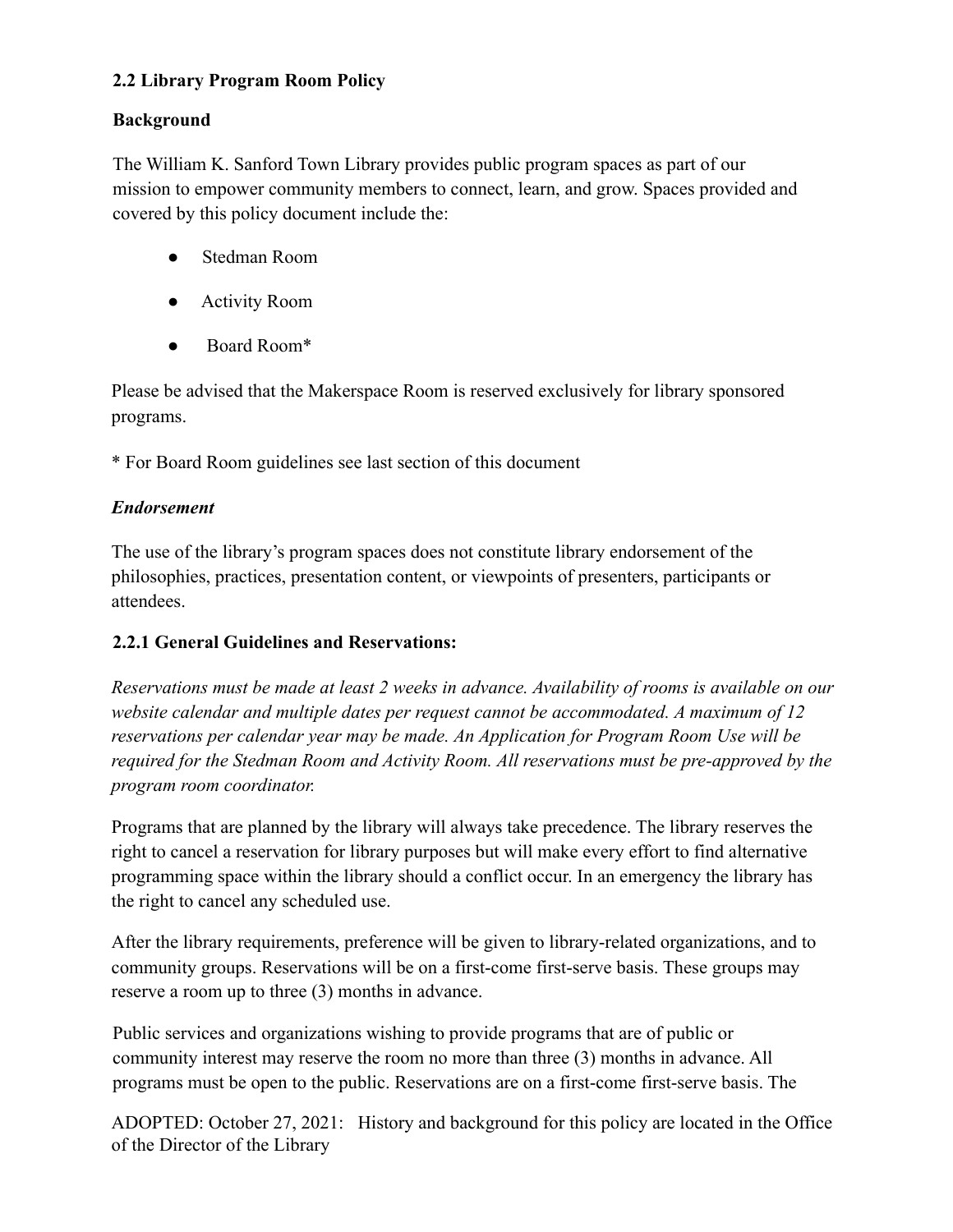## **2.2 Library Program Room Policy**

### **Background**

The William K. Sanford Town Library provides public program spaces as part of our mission to empower community members to connect, learn, and grow. Spaces provided and covered by this policy document include the:

- Stedman Room
- Activity Room
- Board Room\*

Please be advised that the Makerspace Room is reserved exclusively for library sponsored programs.

\* For Board Room guidelines see last section of this document

## *Endorsement*

The use of the library's program spaces does not constitute library endorsement of the philosophies, practices, presentation content, or viewpoints of presenters, participants or attendees.

### **2.2.1 General Guidelines and Reservations:**

*Reservations must be made at least 2 weeks in advance. Availability of rooms is available on our website calendar and multiple dates per request cannot be accommodated. A maximum of 12 reservations per calendar year may be made. An Application for Program Room Use will be required for the Stedman Room and Activity Room. All reservations must be pre-approved by the program room coordinator.*

Programs that are planned by the library will always take precedence. The library reserves the right to cancel a reservation for library purposes but will make every effort to find alternative programming space within the library should a conflict occur. In an emergency the library has the right to cancel any scheduled use.

After the library requirements, preference will be given to library-related organizations, and to community groups. Reservations will be on a first-come first-serve basis. These groups may reserve a room up to three (3) months in advance.

Public services and organizations wishing to provide programs that are of public or community interest may reserve the room no more than three (3) months in advance. All programs must be open to the public. Reservations are on a first-come first-serve basis. The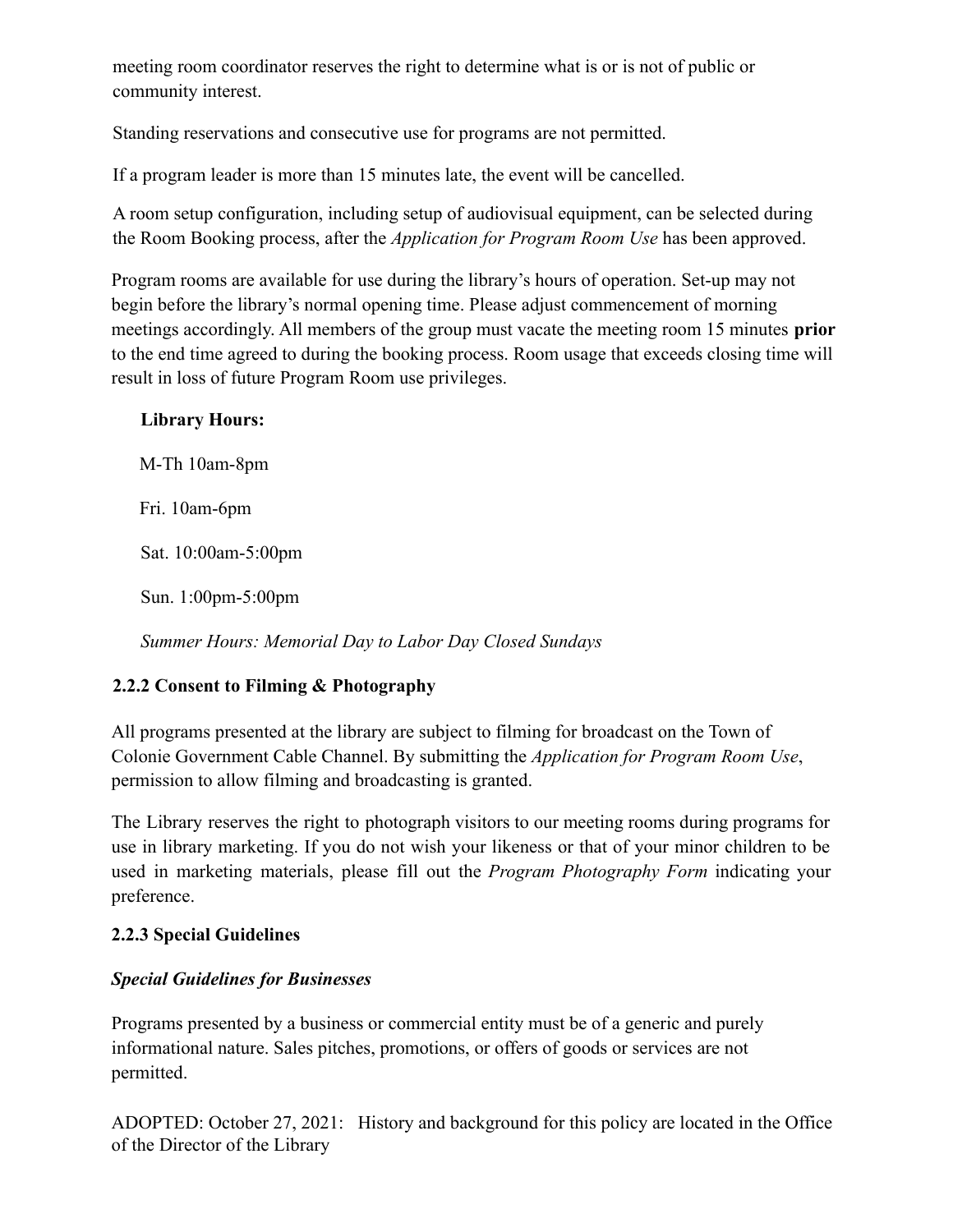meeting room coordinator reserves the right to determine what is or is not of public or community interest.

Standing reservations and consecutive use for programs are not permitted.

If a program leader is more than 15 minutes late, the event will be cancelled.

A room setup configuration, including setup of audiovisual equipment, can be selected during the Room Booking process, after the *Application for Program Room Use* has been approved.

Program rooms are available for use during the library's hours of operation. Set-up may not begin before the library's normal opening time. Please adjust commencement of morning meetings accordingly. All members of the group must vacate the meeting room 15 minutes **prior** to the end time agreed to during the booking process. Room usage that exceeds closing time will result in loss of future Program Room use privileges.

### **Library Hours:**

M-Th 10am-8pm Fri. 10am-6pm Sat. 10:00am-5:00pm

Sun. 1:00pm-5:00pm

*Summer Hours: Memorial Day to Labor Day Closed Sundays*

# **2.2.2 Consent to Filming & Photography**

All programs presented at the library are subject to filming for broadcast on the Town of Colonie Government Cable Channel. By submitting the *Application for Program Room Use*, permission to allow filming and broadcasting is granted.

The Library reserves the right to photograph visitors to our meeting rooms during programs for use in library marketing. If you do not wish your likeness or that of your minor children to be used in marketing materials, please fill out the *Program Photography Form* indicating your preference.

# **2.2.3 Special Guidelines**

# *Special Guidelines for Businesses*

Programs presented by a business or commercial entity must be of a generic and purely informational nature. Sales pitches, promotions, or offers of goods or services are not permitted.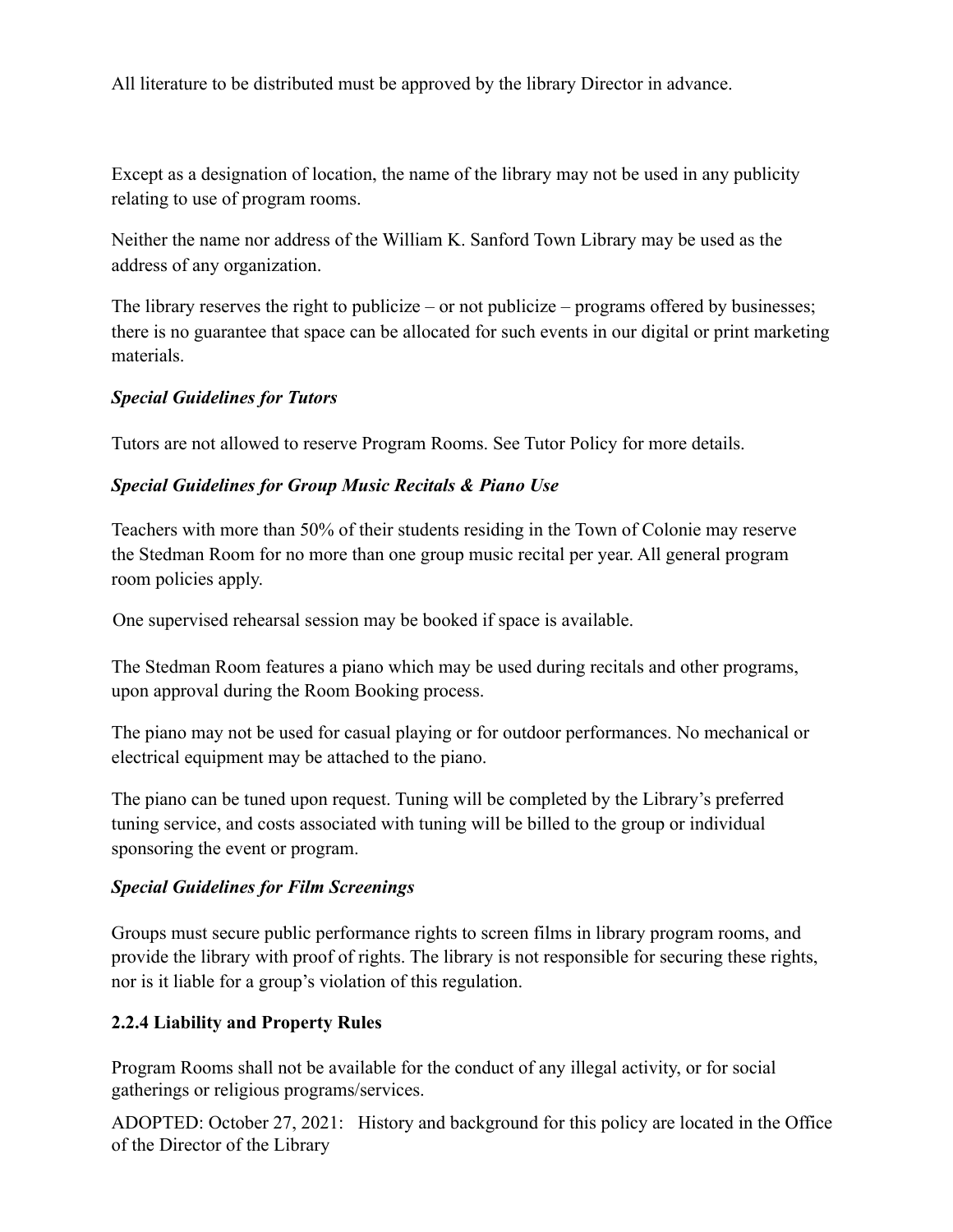All literature to be distributed must be approved by the library Director in advance.

Except as a designation of location, the name of the library may not be used in any publicity relating to use of program rooms.

Neither the name nor address of the William K. Sanford Town Library may be used as the address of any organization.

The library reserves the right to publicize – or not publicize – programs offered by businesses; there is no guarantee that space can be allocated for such events in our digital or print marketing materials.

#### *Special Guidelines for Tutors*

Tutors are not allowed to reserve Program Rooms. See Tutor Policy for more details.

#### *Special Guidelines for Group Music Recitals & Piano Use*

Teachers with more than 50% of their students residing in the Town of Colonie may reserve the Stedman Room for no more than one group music recital per year. All general program room policies apply.

One supervised rehearsal session may be booked if space is available.

The Stedman Room features a piano which may be used during recitals and other programs, upon approval during the Room Booking process.

The piano may not be used for casual playing or for outdoor performances. No mechanical or electrical equipment may be attached to the piano.

The piano can be tuned upon request. Tuning will be completed by the Library's preferred tuning service, and costs associated with tuning will be billed to the group or individual sponsoring the event or program.

#### *Special Guidelines for Film Screenings*

Groups must secure public performance rights to screen films in library program rooms, and provide the library with proof of rights. The library is not responsible for securing these rights, nor is it liable for a group's violation of this regulation.

#### **2.2.4 Liability and Property Rules**

Program Rooms shall not be available for the conduct of any illegal activity, or for social gatherings or religious programs/services.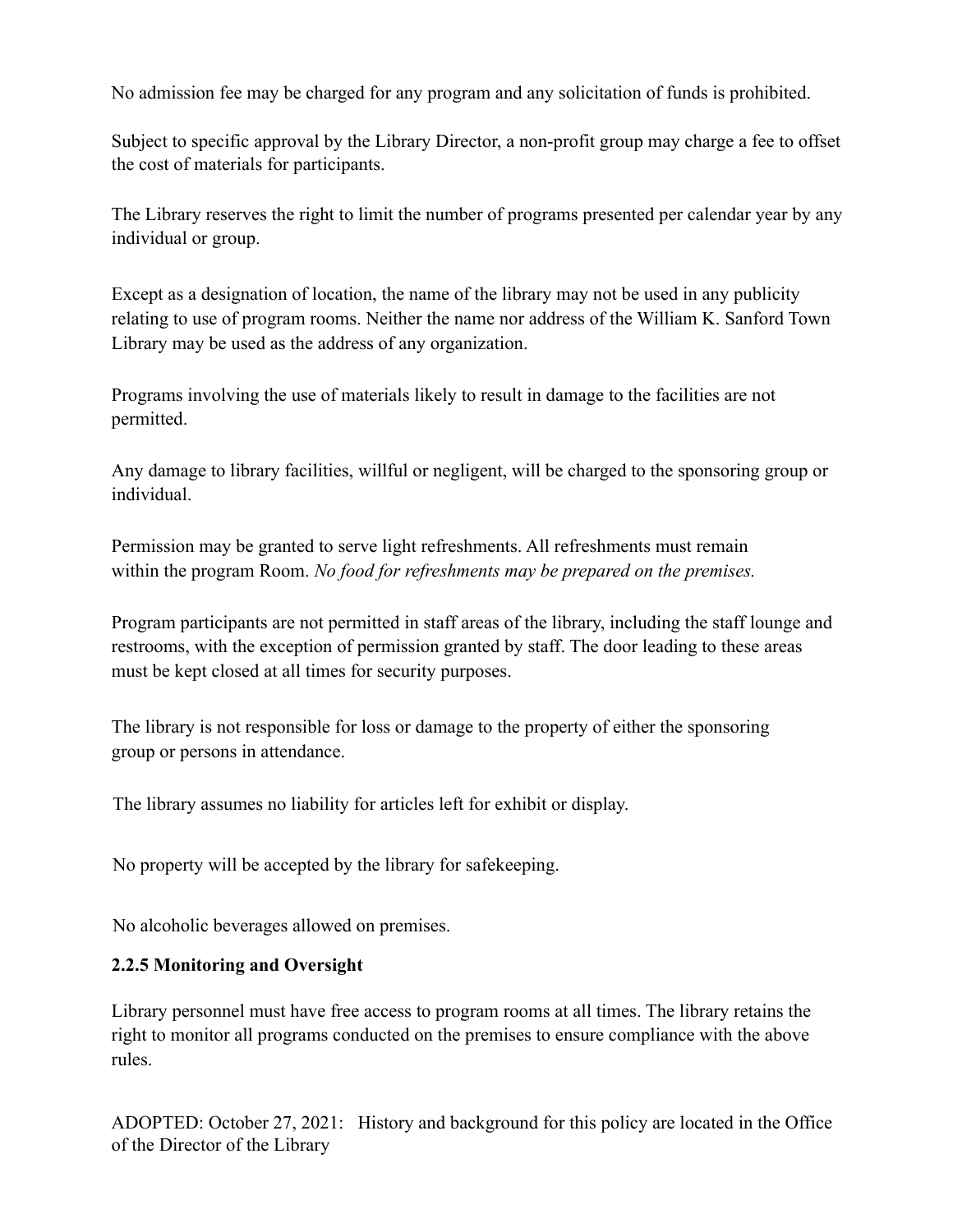No admission fee may be charged for any program and any solicitation of funds is prohibited.

Subject to specific approval by the Library Director, a non-profit group may charge a fee to offset the cost of materials for participants.

The Library reserves the right to limit the number of programs presented per calendar year by any individual or group.

Except as a designation of location, the name of the library may not be used in any publicity relating to use of program rooms. Neither the name nor address of the William K. Sanford Town Library may be used as the address of any organization.

Programs involving the use of materials likely to result in damage to the facilities are not permitted.

Any damage to library facilities, willful or negligent, will be charged to the sponsoring group or individual.

Permission may be granted to serve light refreshments. All refreshments must remain within the program Room. *No food for refreshments may be prepared on the premises.*

Program participants are not permitted in staff areas of the library, including the staff lounge and restrooms, with the exception of permission granted by staff. The door leading to these areas must be kept closed at all times for security purposes.

The library is not responsible for loss or damage to the property of either the sponsoring group or persons in attendance.

The library assumes no liability for articles left for exhibit or display.

No property will be accepted by the library for safekeeping.

No alcoholic beverages allowed on premises.

#### **2.2.5 Monitoring and Oversight**

Library personnel must have free access to program rooms at all times. The library retains the right to monitor all programs conducted on the premises to ensure compliance with the above rules.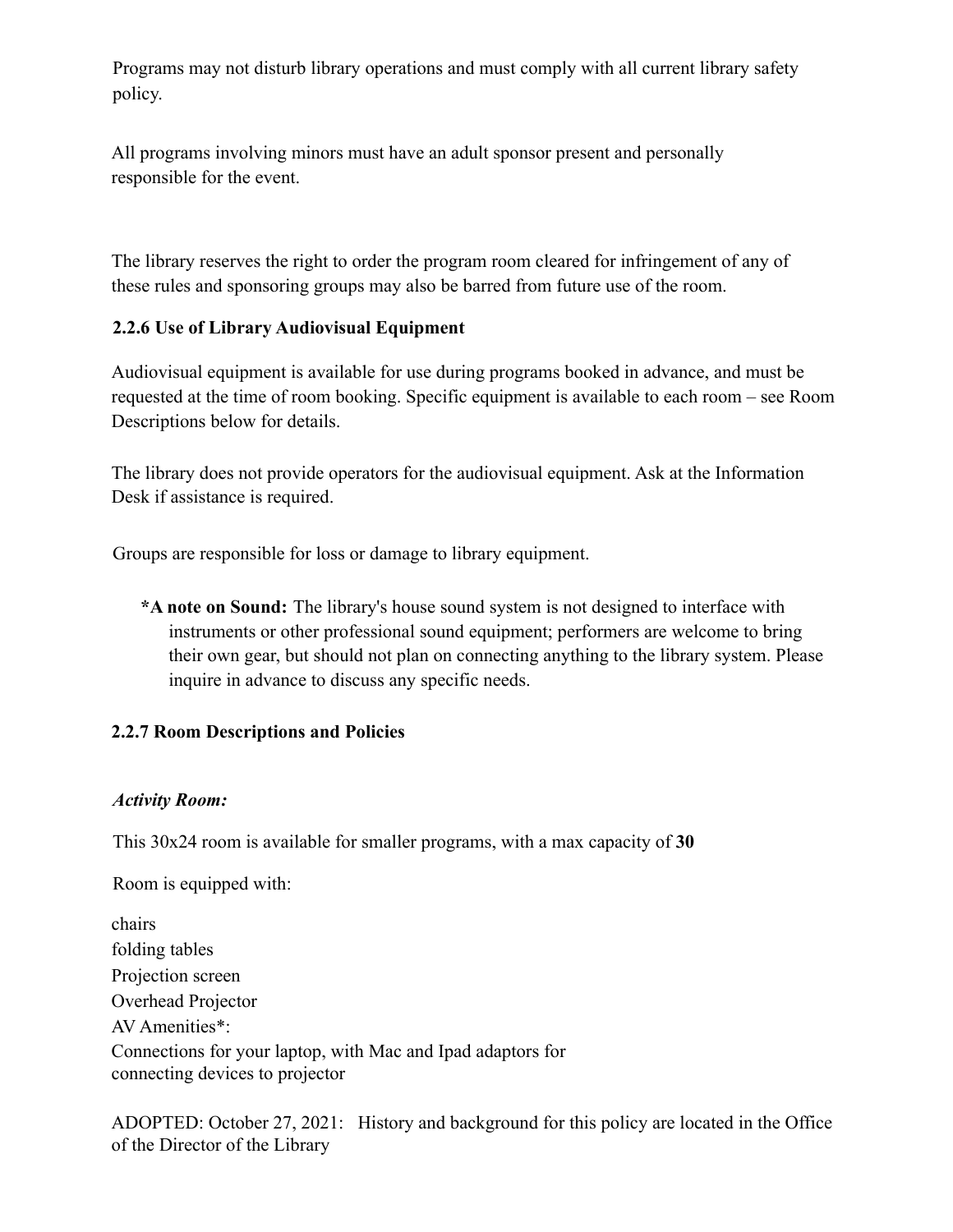Programs may not disturb library operations and must comply with all current library safety policy.

All programs involving minors must have an adult sponsor present and personally responsible for the event.

The library reserves the right to order the program room cleared for infringement of any of these rules and sponsoring groups may also be barred from future use of the room.

#### **2.2.6 Use of Library Audiovisual Equipment**

Audiovisual equipment is available for use during programs booked in advance, and must be requested at the time of room booking. Specific equipment is available to each room – see Room Descriptions below for details.

The library does not provide operators for the audiovisual equipment. Ask at the Information Desk if assistance is required.

Groups are responsible for loss or damage to library equipment.

**\*A note on Sound:** The library's house sound system is not designed to interface with instruments or other professional sound equipment; performers are welcome to bring their own gear, but should not plan on connecting anything to the library system. Please inquire in advance to discuss any specific needs.

#### **2.2.7 Room Descriptions and Policies**

#### *Activity Room:*

This 30x24 room is available for smaller programs, with a max capacity of **30**

Room is equipped with:

| chairs                                                      |
|-------------------------------------------------------------|
| folding tables                                              |
| Projection screen                                           |
| Overhead Projector                                          |
| AV Amenities*:                                              |
| Connections for your laptop, with Mac and Ipad adaptors for |
| connecting devices to projector                             |